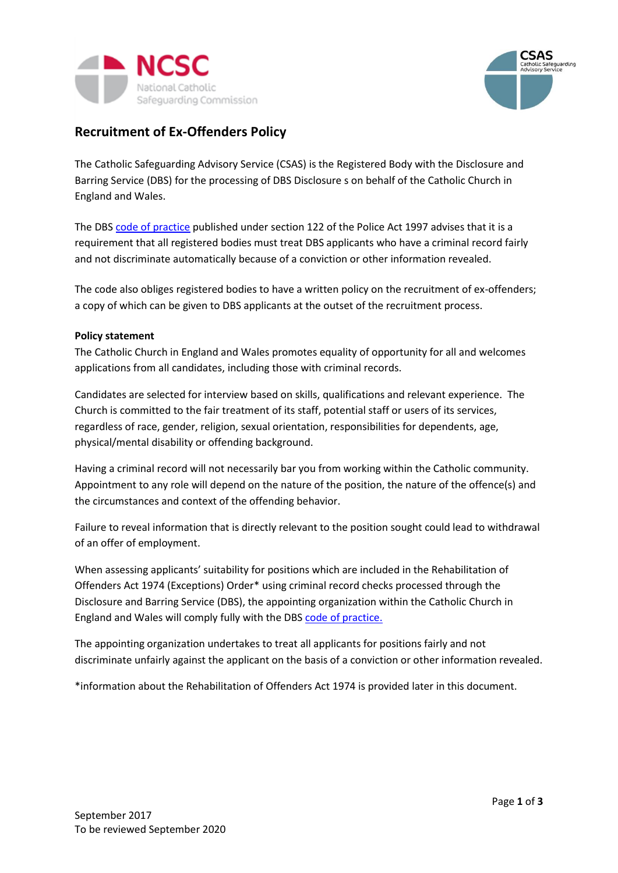



## **Recruitment of Ex-Offenders Policy**

The Catholic Safeguarding Advisory Service (CSAS) is the Registered Body with the Disclosure and Barring Service (DBS) for the processing of DBS Disclosure s on behalf of the Catholic Church in England and Wales.

The DB[S code of practice](https://www.gov.uk/government/publications/dbs-code-of-practice) published under section 122 of the Police Act 1997 advises that it is a requirement that all registered bodies must treat DBS applicants who have a criminal record fairly and not discriminate automatically because of a conviction or other information revealed.

The code also obliges registered bodies to have a written policy on the recruitment of ex-offenders; a copy of which can be given to DBS applicants at the outset of the recruitment process.

## **Policy statement**

The Catholic Church in England and Wales promotes equality of opportunity for all and welcomes applications from all candidates, including those with criminal records.

Candidates are selected for interview based on skills, qualifications and relevant experience. The Church is committed to the fair treatment of its staff, potential staff or users of its services, regardless of race, gender, religion, sexual orientation, responsibilities for dependents, age, physical/mental disability or offending background.

Having a criminal record will not necessarily bar you from working within the Catholic community. Appointment to any role will depend on the nature of the position, the nature of the offence(s) and the circumstances and context of the offending behavior.

Failure to reveal information that is directly relevant to the position sought could lead to withdrawal of an offer of employment.

When assessing applicants' suitability for positions which are included in the Rehabilitation of Offenders Act 1974 (Exceptions) Order\* using criminal record checks processed through the Disclosure and Barring Service (DBS), the appointing organization within the Catholic Church in England and Wales will comply fully with the DBS [code of practice.](https://www.gov.uk/government/publications/dbs-code-of-practice)

The appointing organization undertakes to treat all applicants for positions fairly and not discriminate unfairly against the applicant on the basis of a conviction or other information revealed.

\*information about the Rehabilitation of Offenders Act 1974 is provided later in this document.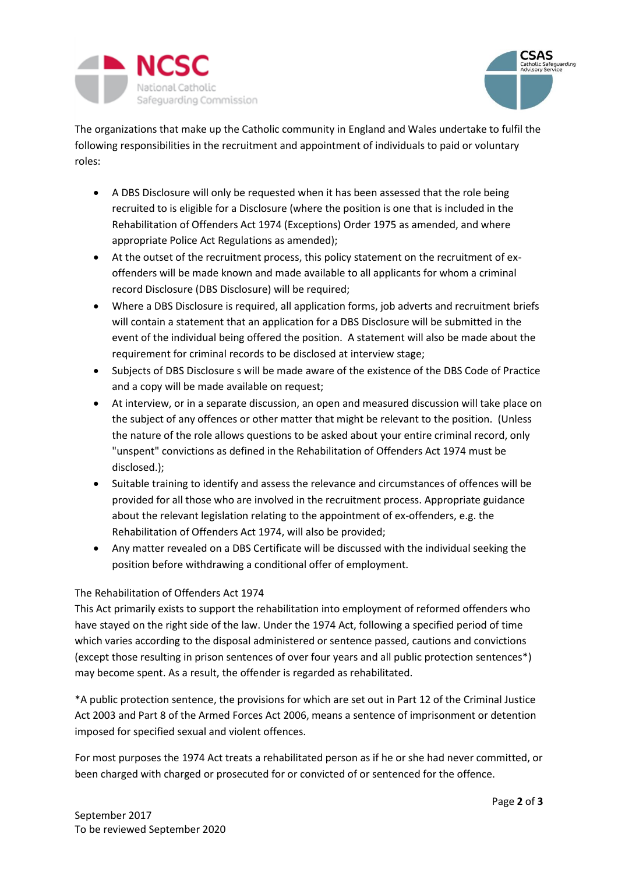



The organizations that make up the Catholic community in England and Wales undertake to fulfil the following responsibilities in the recruitment and appointment of individuals to paid or voluntary roles:

- A DBS Disclosure will only be requested when it has been assessed that the role being recruited to is eligible for a Disclosure (where the position is one that is included in the Rehabilitation of Offenders Act 1974 (Exceptions) Order 1975 as amended, and where appropriate Police Act Regulations as amended);
- At the outset of the recruitment process, this policy statement on the recruitment of exoffenders will be made known and made available to all applicants for whom a criminal record Disclosure (DBS Disclosure) will be required;
- Where a DBS Disclosure is required, all application forms, job adverts and recruitment briefs will contain a statement that an application for a DBS Disclosure will be submitted in the event of the individual being offered the position. A statement will also be made about the requirement for criminal records to be disclosed at interview stage;
- Subjects of DBS Disclosure s will be made aware of the existence of the DBS Code of Practice and a copy will be made available on request;
- At interview, or in a separate discussion, an open and measured discussion will take place on the subject of any offences or other matter that might be relevant to the position. (Unless the nature of the role allows questions to be asked about your entire criminal record, only "unspent" convictions as defined in the Rehabilitation of Offenders Act 1974 must be disclosed.);
- Suitable training to identify and assess the relevance and circumstances of offences will be provided for all those who are involved in the recruitment process. Appropriate guidance about the relevant legislation relating to the appointment of ex-offenders, e.g. the Rehabilitation of Offenders Act 1974, will also be provided;
- Any matter revealed on a DBS Certificate will be discussed with the individual seeking the position before withdrawing a conditional offer of employment.

## The Rehabilitation of Offenders Act 1974

This Act primarily exists to support the rehabilitation into employment of reformed offenders who have stayed on the right side of the law. Under the 1974 Act, following a specified period of time which varies according to the disposal administered or sentence passed, cautions and convictions (except those resulting in prison sentences of over four years and all public protection sentences\*) may become spent. As a result, the offender is regarded as rehabilitated.

\*A public protection sentence, the provisions for which are set out in Part 12 of the Criminal Justice Act 2003 and Part 8 of the Armed Forces Act 2006, means a sentence of imprisonment or detention imposed for specified sexual and violent offences.

For most purposes the 1974 Act treats a rehabilitated person as if he or she had never committed, or been charged with charged or prosecuted for or convicted of or sentenced for the offence.